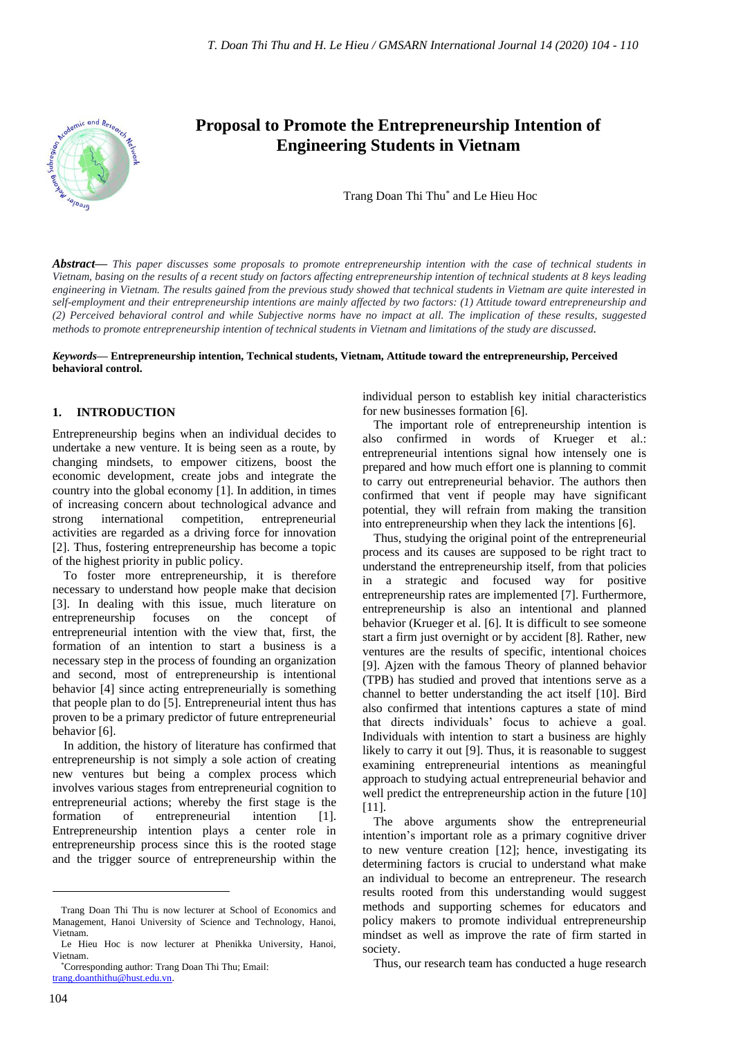

# **Proposal to Promote the Entrepreneurship Intention of Engineering Students in Vietnam**

Trang Doan Thi Thu\* and Le Hieu Hoc

*Abstract***—** *This paper discusses some proposals to promote entrepreneurship intention with the case of technical students in Vietnam, basing on the results of a recent study on factors affecting entrepreneurship intention of technical students at 8 keys leading engineering in Vietnam. The results gained from the previous study showed that technical students in Vietnam are quite interested in self-employment and their entrepreneurship intentions are mainly affected by two factors: (1) Attitude toward entrepreneurship and (2) Perceived behavioral control and while Subjective norms have no impact at all. The implication of these results, suggested methods to promote entrepreneurship intention of technical students in Vietnam and limitations of the study are discussed.*

#### *Keywords***— Entrepreneurship intention, Technical students, Vietnam, Attitude toward the entrepreneurship, Perceived behavioral control.**

#### **1. INTRODUCTION**

Entrepreneurship begins when an individual decides to undertake a new venture. It is being seen as a route, by changing mindsets, to empower citizens, boost the economic development, create jobs and integrate the country into the global economy [1]. In addition, in times of increasing concern about technological advance and strong international competition, entrepreneurial activities are regarded as a driving force for innovation [2]. Thus, fostering entrepreneurship has become a topic of the highest priority in public policy.

To foster more entrepreneurship, it is therefore necessary to understand how people make that decision [3]. In dealing with this issue, much literature on entrepreneurship focuses on the concept of entrepreneurial intention with the view that, first, the formation of an intention to start a business is a necessary step in the process of founding an organization and second, most of entrepreneurship is intentional behavior [4] since acting entrepreneurially is something that people plan to do [5]. Entrepreneurial intent thus has proven to be a primary predictor of future entrepreneurial behavior [6].

In addition, the history of literature has confirmed that entrepreneurship is not simply a sole action of creating new ventures but being a complex process which involves various stages from entrepreneurial cognition to entrepreneurial actions; whereby the first stage is the formation of entrepreneurial intention [1]. Entrepreneurship intention plays a center role in entrepreneurship process since this is the rooted stage and the trigger source of entrepreneurship within the

individual person to establish key initial characteristics for new businesses formation [6].

The important role of entrepreneurship intention is also confirmed in words of Krueger et al.: entrepreneurial intentions signal how intensely one is prepared and how much effort one is planning to commit to carry out entrepreneurial behavior. The authors then confirmed that vent if people may have significant potential, they will refrain from making the transition into entrepreneurship when they lack the intentions [6].

Thus, studying the original point of the entrepreneurial process and its causes are supposed to be right tract to understand the entrepreneurship itself, from that policies in a strategic and focused way for positive entrepreneurship rates are implemented [7]. Furthermore, entrepreneurship is also an intentional and planned behavior (Krueger et al. [6]. It is difficult to see someone start a firm just overnight or by accident [8]. Rather, new ventures are the results of specific, intentional choices [9]. Ajzen with the famous Theory of planned behavior (TPB) has studied and proved that intentions serve as a channel to better understanding the act itself [10]. Bird also confirmed that intentions captures a state of mind that directs individuals' focus to achieve a goal. Individuals with intention to start a business are highly likely to carry it out [9]. Thus, it is reasonable to suggest examining entrepreneurial intentions as meaningful approach to studying actual entrepreneurial behavior and well predict the entrepreneurship action in the future [10] [11].

The above arguments show the entrepreneurial intention's important role as a primary cognitive driver to new venture creation [12]; hence, investigating its determining factors is crucial to understand what make an individual to become an entrepreneur. The research results rooted from this understanding would suggest methods and supporting schemes for educators and policy makers to promote individual entrepreneurship mindset as well as improve the rate of firm started in society.

Thus, our research team has conducted a huge research

Trang Doan Thi Thu is now lecturer at School of Economics and Management, Hanoi University of Science and Technology, Hanoi, Vietnam.

Le Hieu Hoc is now lecturer at Phenikka University, Hanoi, Vietnam.

<sup>\*</sup>Corresponding author: Trang Doan Thi Thu; Email: [trang.doanthithu@hust.edu.vn.](mailto:trang.doanthithu@hust.edu.vn)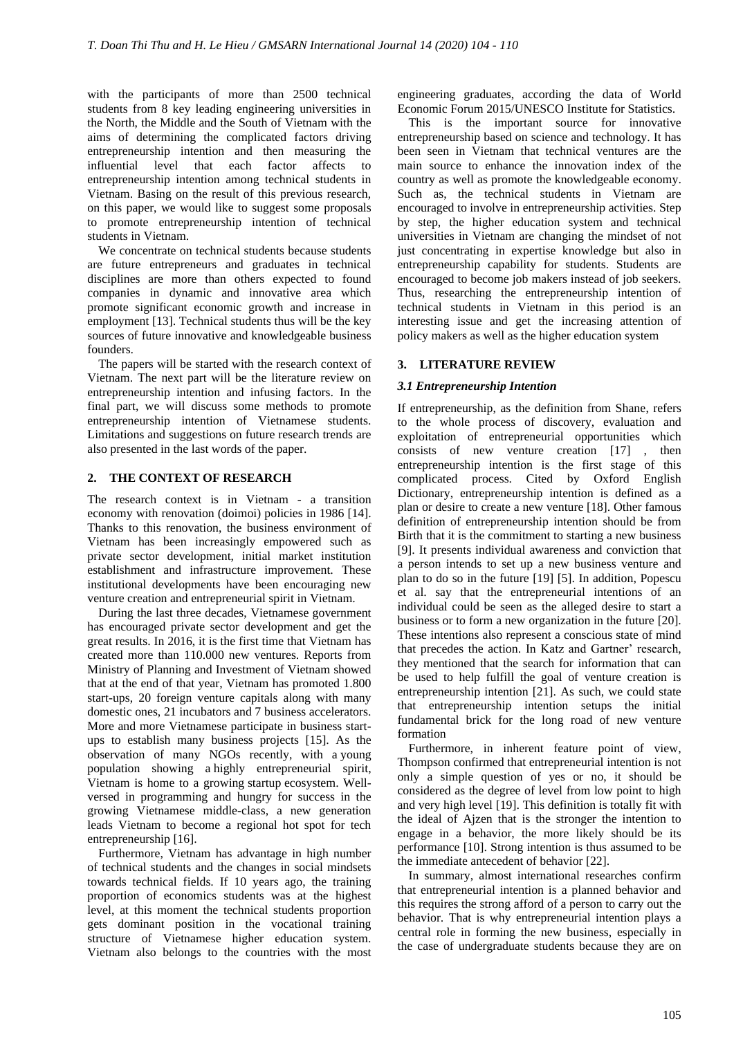with the participants of more than 2500 technical students from 8 key leading engineering universities in the North, the Middle and the South of Vietnam with the aims of determining the complicated factors driving entrepreneurship intention and then measuring the influential level that each factor affects to entrepreneurship intention among technical students in Vietnam. Basing on the result of this previous research, on this paper, we would like to suggest some proposals to promote entrepreneurship intention of technical students in Vietnam.

We concentrate on technical students because students are future entrepreneurs and graduates in technical disciplines are more than others expected to found companies in dynamic and innovative area which promote significant economic growth and increase in employment [13]. Technical students thus will be the key sources of future innovative and knowledgeable business founders.

The papers will be started with the research context of Vietnam. The next part will be the literature review on entrepreneurship intention and infusing factors. In the final part, we will discuss some methods to promote entrepreneurship intention of Vietnamese students. Limitations and suggestions on future research trends are also presented in the last words of the paper.

### **2. THE CONTEXT OF RESEARCH**

The research context is in Vietnam - a transition economy with renovation (doimoi) policies in 1986 [14]. Thanks to this renovation, the business environment of Vietnam has been increasingly empowered such as private sector development, initial market institution establishment and infrastructure improvement. These institutional developments have been encouraging new venture creation and entrepreneurial spirit in Vietnam.

During the last three decades, Vietnamese government has encouraged private sector development and get the great results. In 2016, it is the first time that Vietnam has created more than 110.000 new ventures. Reports from Ministry of Planning and Investment of Vietnam showed that at the end of that year, Vietnam has promoted 1.800 start-ups, 20 foreign venture capitals along with many domestic ones, 21 incubators and 7 business accelerators. More and more Vietnamese participate in business startups to establish many business projects [15]. As the observation of many NGOs recently, with a young population showing a highly entrepreneurial spirit, Vietnam is home to a growing startup ecosystem. Wellversed in programming and hungry for success in the growing Vietnamese middle-class, a new generation leads Vietnam to become a regional hot spot for tech entrepreneurship [16].

Furthermore, Vietnam has advantage in high number of technical students and the changes in social mindsets towards technical fields. If 10 years ago, the training proportion of economics students was at the highest level, at this moment the technical students proportion gets dominant position in the vocational training structure of Vietnamese higher education system. Vietnam also belongs to the countries with the most engineering graduates, according the data of World Economic Forum 2015/UNESCO Institute for Statistics.

This is the important source for innovative entrepreneurship based on science and technology. It has been seen in Vietnam that technical ventures are the main source to enhance the innovation index of the country as well as promote the knowledgeable economy. Such as, the technical students in Vietnam are encouraged to involve in entrepreneurship activities. Step by step, the higher education system and technical universities in Vietnam are changing the mindset of not just concentrating in expertise knowledge but also in entrepreneurship capability for students. Students are encouraged to become job makers instead of job seekers. Thus, researching the entrepreneurship intention of technical students in Vietnam in this period is an interesting issue and get the increasing attention of policy makers as well as the higher education system

# **3. LITERATURE REVIEW**

# *3.1 Entrepreneurship Intention*

If entrepreneurship, as the definition from Shane, refers to the whole process of discovery, evaluation and exploitation of entrepreneurial opportunities which consists of new venture creation [17] , then entrepreneurship intention is the first stage of this complicated process. Cited by Oxford English Dictionary, entrepreneurship intention is defined as a plan or desire to create a new venture [18]. Other famous definition of entrepreneurship intention should be from Birth that it is the commitment to starting a new business [9]. It presents individual awareness and conviction that a person intends to set up a new business venture and plan to do so in the future [19] [5]. In addition, Popescu et al. say that the entrepreneurial intentions of an individual could be seen as the alleged desire to start a business or to form a new organization in the future [20]. These intentions also represent a conscious state of mind that precedes the action. In Katz and Gartner' research, they mentioned that the search for information that can be used to help fulfill the goal of venture creation is entrepreneurship intention [21]. As such, we could state that entrepreneurship intention setups the initial fundamental brick for the long road of new venture formation

Furthermore, in inherent feature point of view, Thompson confirmed that entrepreneurial intention is not only a simple question of yes or no, it should be considered as the degree of level from low point to high and very high level [19]. This definition is totally fit with the ideal of Ajzen that is the stronger the intention to engage in a behavior, the more likely should be its performance [10]. Strong intention is thus assumed to be the immediate antecedent of behavior [22].

In summary, almost international researches confirm that entrepreneurial intention is a planned behavior and this requires the strong afford of a person to carry out the behavior. That is why entrepreneurial intention plays a central role in forming the new business, especially in the case of undergraduate students because they are on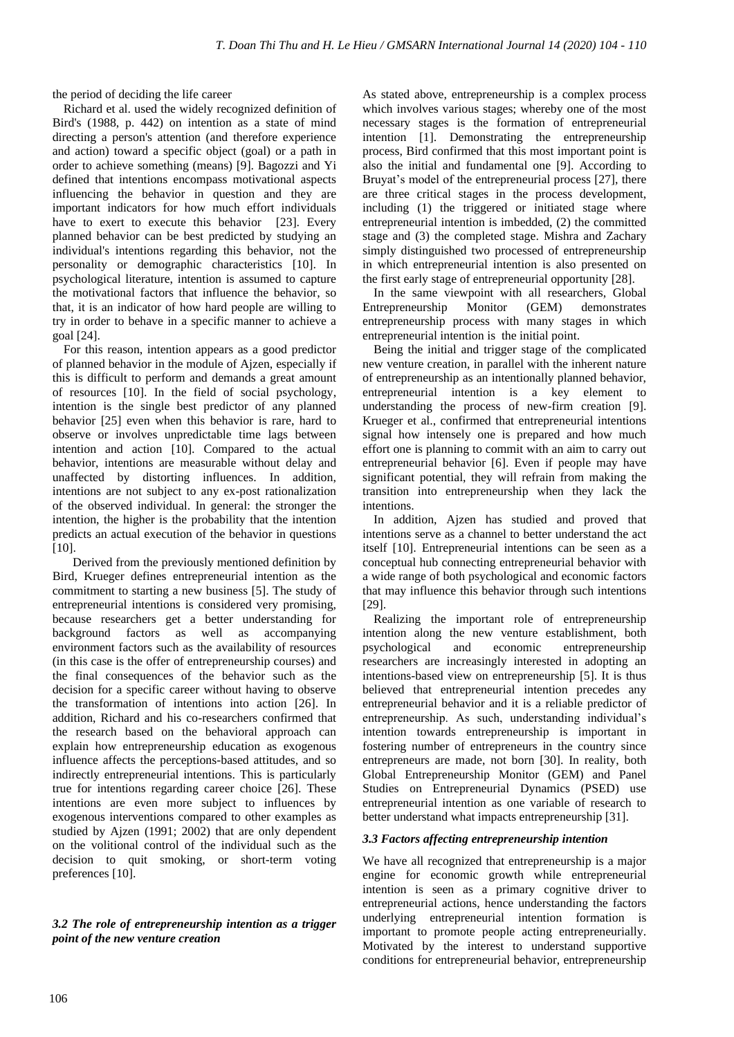the period of deciding the life career

Richard et al. used the widely recognized definition of Bird's (1988, p. 442) on intention as a state of mind directing a person's attention (and therefore experience and action) toward a specific object (goal) or a path in order to achieve something (means) [9]. Bagozzi and Yi defined that intentions encompass motivational aspects influencing the behavior in question and they are important indicators for how much effort individuals have to exert to execute this behavior [23]. Every planned behavior can be best predicted by studying an individual's intentions regarding this behavior, not the personality or demographic characteristics [10]. In psychological literature, intention is assumed to capture the motivational factors that influence the behavior, so that, it is an indicator of how hard people are willing to try in order to behave in a specific manner to achieve a goal [24].

For this reason, intention appears as a good predictor of planned behavior in the module of Ajzen, especially if this is difficult to perform and demands a great amount of resources [10]. In the field of social psychology, intention is the single best predictor of any planned behavior [25] even when this behavior is rare, hard to observe or involves unpredictable time lags between intention and action [10]. Compared to the actual behavior, intentions are measurable without delay and unaffected by distorting influences. In addition, intentions are not subject to any ex-post rationalization of the observed individual. In general: the stronger the intention, the higher is the probability that the intention predicts an actual execution of the behavior in questions  $[10]$ .

 Derived from the previously mentioned definition by Bird, Krueger defines entrepreneurial intention as the commitment to starting a new business [5]. The study of entrepreneurial intentions is considered very promising, because researchers get a better understanding for background factors as well as accompanying environment factors such as the availability of resources (in this case is the offer of entrepreneurship courses) and the final consequences of the behavior such as the decision for a specific career without having to observe the transformation of intentions into action [26]. In addition, Richard and his co-researchers confirmed that the research based on the behavioral approach can explain how entrepreneurship education as exogenous influence affects the perceptions-based attitudes, and so indirectly entrepreneurial intentions. This is particularly true for intentions regarding career choice [26]. These intentions are even more subject to influences by exogenous interventions compared to other examples as studied by Ajzen (1991; 2002) that are only dependent on the volitional control of the individual such as the decision to quit smoking, or short-term voting preferences [10].

*3.2 The role of entrepreneurship intention as a trigger point of the new venture creation*

As stated above, entrepreneurship is a complex process which involves various stages; whereby one of the most necessary stages is the formation of entrepreneurial intention [1]. Demonstrating the entrepreneurship process, Bird confirmed that this most important point is also the initial and fundamental one [9]. According to Bruyat's model of the entrepreneurial process [27], there are three critical stages in the process development, including (1) the triggered or initiated stage where entrepreneurial intention is imbedded, (2) the committed stage and (3) the completed stage. Mishra and Zachary simply distinguished two processed of entrepreneurship in which entrepreneurial intention is also presented on the first early stage of entrepreneurial opportunity [28].

In the same viewpoint with all researchers, Global Entrepreneurship Monitor (GEM) demonstrates entrepreneurship process with many stages in which entrepreneurial intention is the initial point.

Being the initial and trigger stage of the complicated new venture creation, in parallel with the inherent nature of entrepreneurship as an intentionally planned behavior, entrepreneurial intention is a key element to understanding the process of new-firm creation [9]. Krueger et al., confirmed that entrepreneurial intentions signal how intensely one is prepared and how much effort one is planning to commit with an aim to carry out entrepreneurial behavior [6]. Even if people may have significant potential, they will refrain from making the transition into entrepreneurship when they lack the intentions.

In addition, Ajzen has studied and proved that intentions serve as a channel to better understand the act itself [10]. Entrepreneurial intentions can be seen as a conceptual hub connecting entrepreneurial behavior with a wide range of both psychological and economic factors that may influence this behavior through such intentions [29].

Realizing the important role of entrepreneurship intention along the new venture establishment, both psychological and economic entrepreneurship researchers are increasingly interested in adopting an intentions-based view on entrepreneurship [5]. It is thus believed that entrepreneurial intention precedes any entrepreneurial behavior and it is a reliable predictor of entrepreneurship. As such, understanding individual's intention towards entrepreneurship is important in fostering number of entrepreneurs in the country since entrepreneurs are made, not born [30]. In reality, both Global Entrepreneurship Monitor (GEM) and Panel Studies on Entrepreneurial Dynamics (PSED) use entrepreneurial intention as one variable of research to better understand what impacts entrepreneurship [31].

# *3.3 Factors affecting entrepreneurship intention*

We have all recognized that entrepreneurship is a major engine for economic growth while entrepreneurial intention is seen as a primary cognitive driver to entrepreneurial actions, hence understanding the factors underlying entrepreneurial intention formation is important to promote people acting entrepreneurially. Motivated by the interest to understand supportive conditions for entrepreneurial behavior, entrepreneurship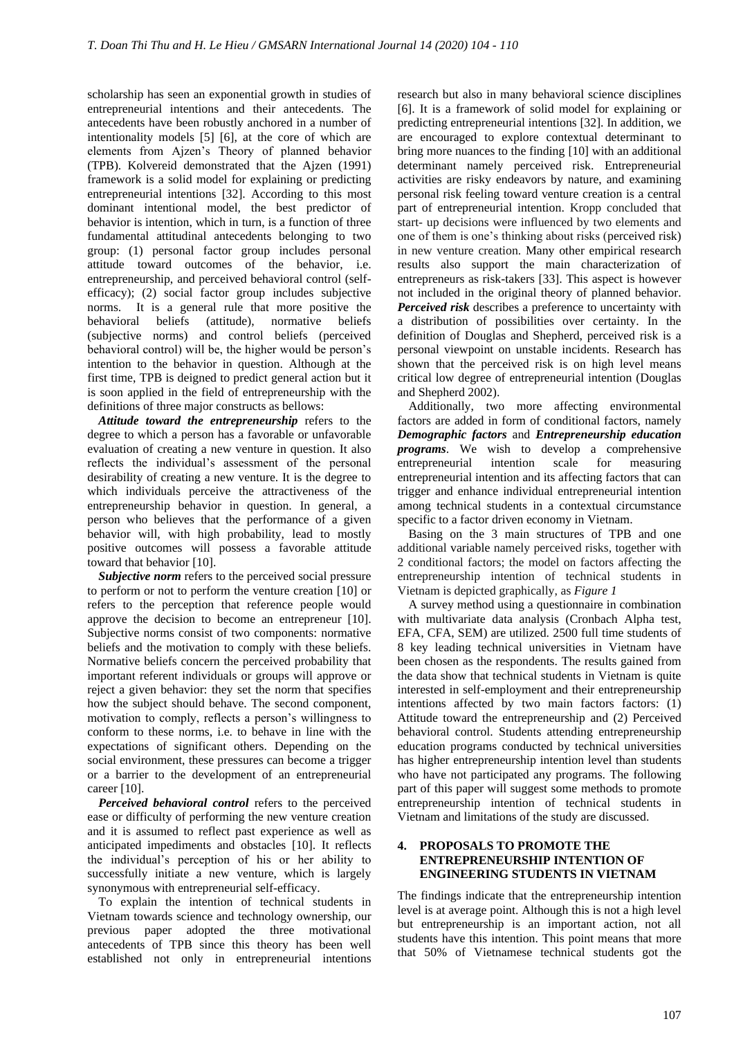scholarship has seen an exponential growth in studies of entrepreneurial intentions and their antecedents. The antecedents have been robustly anchored in a number of intentionality models [5] [6], at the core of which are elements from Ajzen's Theory of planned behavior (TPB). Kolvereid demonstrated that the Ajzen (1991) framework is a solid model for explaining or predicting entrepreneurial intentions [32]. According to this most dominant intentional model, the best predictor of behavior is intention, which in turn, is a function of three fundamental attitudinal antecedents belonging to two group: (1) personal factor group includes personal attitude toward outcomes of the behavior, i.e. entrepreneurship, and perceived behavioral control (selfefficacy); (2) social factor group includes subjective norms. It is a general rule that more positive the behavioral beliefs (attitude), normative beliefs (subjective norms) and control beliefs (perceived behavioral control) will be, the higher would be person's intention to the behavior in question. Although at the first time, TPB is deigned to predict general action but it is soon applied in the field of entrepreneurship with the definitions of three major constructs as bellows:

*Attitude toward the entrepreneurship* refers to the degree to which a person has a favorable or unfavorable evaluation of creating a new venture in question. It also reflects the individual's assessment of the personal desirability of creating a new venture. It is the degree to which individuals perceive the attractiveness of the entrepreneurship behavior in question. In general, a person who believes that the performance of a given behavior will, with high probability, lead to mostly positive outcomes will possess a favorable attitude toward that behavior [10].

*Subjective norm* refers to the perceived social pressure to perform or not to perform the venture creation [10] or refers to the perception that reference people would approve the decision to become an entrepreneur [10]. Subjective norms consist of two components: normative beliefs and the motivation to comply with these beliefs. Normative beliefs concern the perceived probability that important referent individuals or groups will approve or reject a given behavior: they set the norm that specifies how the subject should behave. The second component, motivation to comply, reflects a person's willingness to conform to these norms, i.e. to behave in line with the expectations of significant others. Depending on the social environment, these pressures can become a trigger or a barrier to the development of an entrepreneurial career [10].

*Perceived behavioral control* refers to the perceived ease or difficulty of performing the new venture creation and it is assumed to reflect past experience as well as anticipated impediments and obstacles [10]. It reflects the individual's perception of his or her ability to successfully initiate a new venture, which is largely synonymous with entrepreneurial self-efficacy.

To explain the intention of technical students in Vietnam towards science and technology ownership, our previous paper adopted the three motivational antecedents of TPB since this theory has been well established not only in entrepreneurial intentions

research but also in many behavioral science disciplines [6]. It is a framework of solid model for explaining or predicting entrepreneurial intentions [32]. In addition, we are encouraged to explore contextual determinant to bring more nuances to the finding [10] with an additional determinant namely perceived risk. Entrepreneurial activities are risky endeavors by nature, and examining personal risk feeling toward venture creation is a central part of entrepreneurial intention. Kropp concluded that start- up decisions were influenced by two elements and one of them is one's thinking about risks (perceived risk) in new venture creation. Many other empirical research results also support the main characterization of entrepreneurs as risk-takers [33]. This aspect is however not included in the original theory of planned behavior. *Perceived risk* describes a preference to uncertainty with a distribution of possibilities over certainty. In the definition of Douglas and Shepherd, perceived risk is a personal viewpoint on unstable incidents. Research has shown that the perceived risk is on high level means critical low degree of entrepreneurial intention (Douglas and Shepherd 2002).

Additionally, two more affecting environmental factors are added in form of conditional factors, namely *Demographic factors* and *Entrepreneurship education programs*. We wish to develop a comprehensive entrepreneurial intention scale for measuring entrepreneurial intention and its affecting factors that can trigger and enhance individual entrepreneurial intention among technical students in a contextual circumstance specific to a factor driven economy in Vietnam.

Basing on the 3 main structures of TPB and one additional variable namely perceived risks, together with 2 conditional factors; the model on factors affecting the entrepreneurship intention of technical students in Vietnam is depicted graphically, as *Figure 1*

A survey method using a questionnaire in combination with multivariate data analysis (Cronbach Alpha test, EFA, CFA, SEM) are utilized. 2500 full time students of 8 key leading technical universities in Vietnam have been chosen as the respondents. The results gained from the data show that technical students in Vietnam is quite interested in self-employment and their entrepreneurship intentions affected by two main factors factors: (1) Attitude toward the entrepreneurship and (2) Perceived behavioral control. Students attending entrepreneurship education programs conducted by technical universities has higher entrepreneurship intention level than students who have not participated any programs. The following part of this paper will suggest some methods to promote entrepreneurship intention of technical students in Vietnam and limitations of the study are discussed.

#### **4. PROPOSALS TO PROMOTE THE ENTREPRENEURSHIP INTENTION OF ENGINEERING STUDENTS IN VIETNAM**

The findings indicate that the entrepreneurship intention level is at average point. Although this is not a high level but entrepreneurship is an important action, not all students have this intention. This point means that more that 50% of Vietnamese technical students got the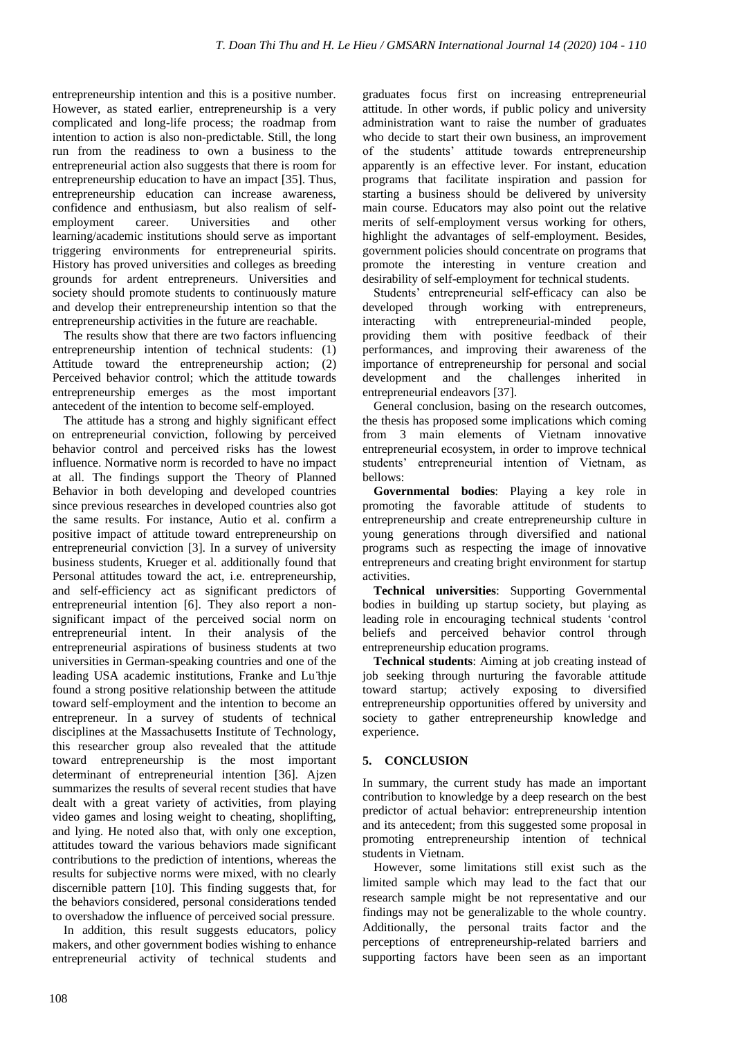entrepreneurship intention and this is a positive number. However, as stated earlier, entrepreneurship is a very complicated and long-life process; the roadmap from intention to action is also non-predictable. Still, the long run from the readiness to own a business to the entrepreneurial action also suggests that there is room for entrepreneurship education to have an impact [35]. Thus, entrepreneurship education can increase awareness, confidence and enthusiasm, but also realism of selfemployment career. Universities and other learning/academic institutions should serve as important triggering environments for entrepreneurial spirits. History has proved universities and colleges as breeding grounds for ardent entrepreneurs. Universities and society should promote students to continuously mature and develop their entrepreneurship intention so that the entrepreneurship activities in the future are reachable.

The results show that there are two factors influencing entrepreneurship intention of technical students: (1) Attitude toward the entrepreneurship action; (2) Perceived behavior control; which the attitude towards entrepreneurship emerges as the most important antecedent of the intention to become self-employed.

The attitude has a strong and highly significant effect on entrepreneurial conviction, following by perceived behavior control and perceived risks has the lowest influence. Normative norm is recorded to have no impact at all. The findings support the Theory of Planned Behavior in both developing and developed countries since previous researches in developed countries also got the same results. For instance, Autio et al. confirm a positive impact of attitude toward entrepreneurship on entrepreneurial conviction [3]. In a survey of university business students, Krueger et al. additionally found that Personal attitudes toward the act, i.e. entrepreneurship, and self-efficiency act as significant predictors of entrepreneurial intention [6]. They also report a nonsignificant impact of the perceived social norm on entrepreneurial intent. In their analysis of the entrepreneurial aspirations of business students at two universities in German-speaking countries and one of the leading USA academic institutions, Franke and Lu ̈thje found a strong positive relationship between the attitude toward self-employment and the intention to become an entrepreneur. In a survey of students of technical disciplines at the Massachusetts Institute of Technology, this researcher group also revealed that the attitude toward entrepreneurship is the most important determinant of entrepreneurial intention [36]. Ajzen summarizes the results of several recent studies that have dealt with a great variety of activities, from playing video games and losing weight to cheating, shoplifting, and lying. He noted also that, with only one exception, attitudes toward the various behaviors made significant contributions to the prediction of intentions, whereas the results for subjective norms were mixed, with no clearly discernible pattern [10]. This finding suggests that, for the behaviors considered, personal considerations tended to overshadow the influence of perceived social pressure.

In addition, this result suggests educators, policy makers, and other government bodies wishing to enhance entrepreneurial activity of technical students and graduates focus first on increasing entrepreneurial attitude. In other words, if public policy and university administration want to raise the number of graduates who decide to start their own business, an improvement of the students' attitude towards entrepreneurship apparently is an effective lever. For instant, education programs that facilitate inspiration and passion for starting a business should be delivered by university main course. Educators may also point out the relative merits of self-employment versus working for others, highlight the advantages of self-employment. Besides, government policies should concentrate on programs that promote the interesting in venture creation and desirability of self-employment for technical students.

Students' entrepreneurial self-efficacy can also be developed through working with entrepreneurs, interacting with entrepreneurial-minded people, providing them with positive feedback of their performances, and improving their awareness of the importance of entrepreneurship for personal and social development and the challenges inherited in entrepreneurial endeavors [37].

General conclusion, basing on the research outcomes, the thesis has proposed some implications which coming from 3 main elements of Vietnam innovative entrepreneurial ecosystem, in order to improve technical students' entrepreneurial intention of Vietnam, as bellows:

**Governmental bodies**: Playing a key role in promoting the favorable attitude of students to entrepreneurship and create entrepreneurship culture in young generations through diversified and national programs such as respecting the image of innovative entrepreneurs and creating bright environment for startup activities.

**Technical universities**: Supporting Governmental bodies in building up startup society, but playing as leading role in encouraging technical students 'control beliefs and perceived behavior control through entrepreneurship education programs.

**Technical students**: Aiming at job creating instead of job seeking through nurturing the favorable attitude toward startup; actively exposing to diversified entrepreneurship opportunities offered by university and society to gather entrepreneurship knowledge and experience.

# **5. CONCLUSION**

In summary, the current study has made an important contribution to knowledge by a deep research on the best predictor of actual behavior: entrepreneurship intention and its antecedent; from this suggested some proposal in promoting entrepreneurship intention of technical students in Vietnam.

However, some limitations still exist such as the limited sample which may lead to the fact that our research sample might be not representative and our findings may not be generalizable to the whole country. Additionally, the personal traits factor and the perceptions of entrepreneurship-related barriers and supporting factors have been seen as an important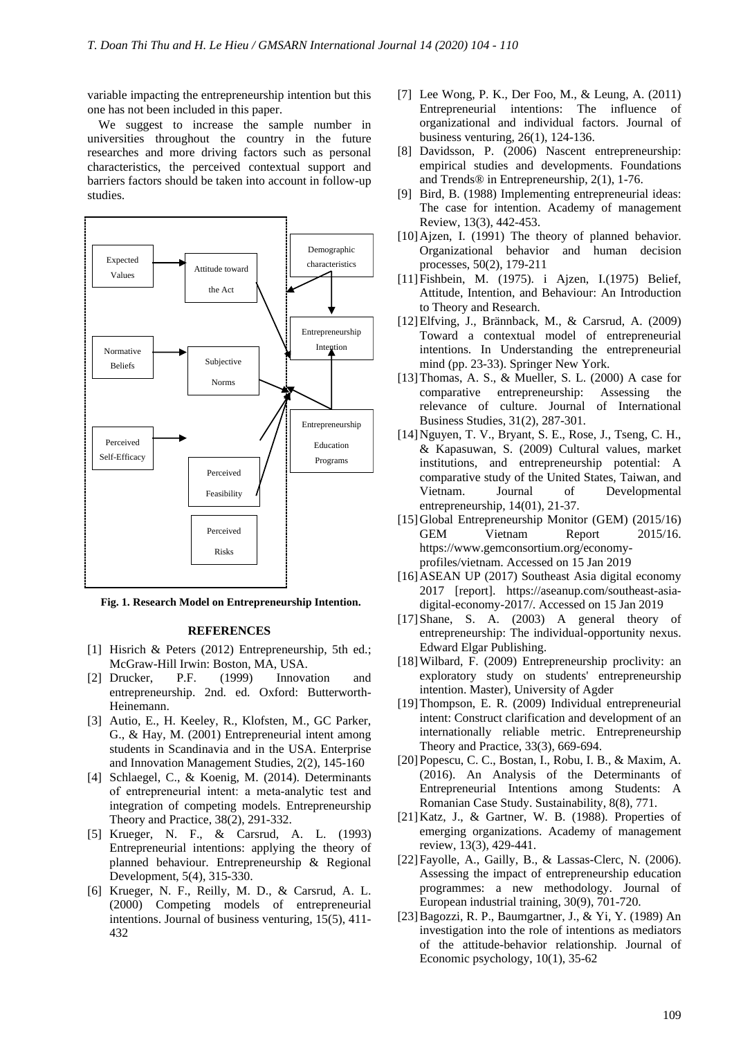variable impacting the entrepreneurship intention but this one has not been included in this paper.

We suggest to increase the sample number in universities throughout the country in the future researches and more driving factors such as personal characteristics, the perceived contextual support and barriers factors should be taken into account in follow-up studies.



**Fig. 1. Research Model on Entrepreneurship Intention.**

#### **REFERENCES**

- [1] Hisrich & Peters (2012) Entrepreneurship, 5th ed.; McGraw-Hill Irwin: Boston, MA, USA.
- [2] Drucker, P.F. (1999) Innovation and entrepreneurship. 2nd. ed. Oxford: Butterworth-Heinemann.
- [3] Autio, E., H. Keeley, R., Klofsten, M., GC Parker, G., & Hay, M. (2001) Entrepreneurial intent among students in Scandinavia and in the USA. Enterprise and Innovation Management Studies, 2(2), 145-160
- [4] Schlaegel, C., & Koenig, M. (2014). Determinants of entrepreneurial intent: a meta‐analytic test and integration of competing models. Entrepreneurship Theory and Practice, 38(2), 291-332.
- [5] Krueger, N. F., & Carsrud, A. L. (1993) Entrepreneurial intentions: applying the theory of planned behaviour. Entrepreneurship & Regional Development, 5(4), 315-330.
- [6] Krueger, N. F., Reilly, M. D., & Carsrud, A. L. (2000) Competing models of entrepreneurial intentions. Journal of business venturing, 15(5), 411- 432
- [7] Lee Wong, P. K., Der Foo, M., & Leung, A. (2011) Entrepreneurial intentions: The influence of organizational and individual factors. Journal of business venturing, 26(1), 124-136.
- [8] Davidsson, P. (2006) Nascent entrepreneurship: empirical studies and developments. Foundations and Trends® in Entrepreneurship, 2(1), 1-76.
- [9] Bird, B. (1988) Implementing entrepreneurial ideas: The case for intention. Academy of management Review, 13(3), 442-453.
- [10] Ajzen, I. (1991) The theory of planned behavior. Organizational behavior and human decision processes, 50(2), 179-211
- [11]Fishbein, M. (1975). i Ajzen, I.(1975) Belief, Attitude, Intention, and Behaviour: An Introduction to Theory and Research.
- [12]Elfving, J., Brännback, M., & Carsrud, A. (2009) Toward a contextual model of entrepreneurial intentions. In Understanding the entrepreneurial mind (pp. 23-33). Springer New York.
- [13]Thomas, A. S., & Mueller, S. L. (2000) A case for comparative entrepreneurship: Assessing the relevance of culture. Journal of International Business Studies, 31(2), 287-301.
- [14]Nguyen, T. V., Bryant, S. E., Rose, J., Tseng, C. H., & Kapasuwan, S. (2009) Cultural values, market institutions, and entrepreneurship potential: A comparative study of the United States, Taiwan, and Vietnam. Journal of Developmental entrepreneurship, 14(01), 21-37.
- [15]Global Entrepreneurship Monitor (GEM) (2015/16) GEM Vietnam Report 2015/16. [https://www.gemconsortium.org/economy](https://www.gemconsortium.org/economy-profiles/vietnam)[profiles/vietnam.](https://www.gemconsortium.org/economy-profiles/vietnam) Accessed on 15 Jan 2019
- [16]ASEAN UP (2017) Southeast Asia digital economy 2017 [report]. [https://aseanup.com/southeast-asia](https://aseanup.com/southeast-asia-digital-economy-2017/)[digital-economy-2017/.](https://aseanup.com/southeast-asia-digital-economy-2017/) Accessed on 15 Jan 2019
- [17]Shane, S. A. (2003) A general theory of entrepreneurship: The individual-opportunity nexus. Edward Elgar Publishing.
- [18]Wilbard, F. (2009) Entrepreneurship proclivity: an exploratory study on students' entrepreneurship intention. Master), University of Agder
- [19]Thompson, E. R. (2009) Individual entrepreneurial intent: Construct clarification and development of an internationally reliable metric. Entrepreneurship Theory and Practice, 33(3), 669-694.
- [20]Popescu, C. C., Bostan, I., Robu, I. B., & Maxim, A. (2016). An Analysis of the Determinants of Entrepreneurial Intentions among Students: A Romanian Case Study. Sustainability, 8(8), 771.
- [21]Katz, J., & Gartner, W. B. (1988). Properties of emerging organizations. Academy of management review, 13(3), 429-441.
- [22] Fayolle, A., Gailly, B., & Lassas-Clerc, N. (2006). Assessing the impact of entrepreneurship education programmes: a new methodology. Journal of European industrial training, 30(9), 701-720.
- [23]Bagozzi, R. P., Baumgartner, J., & Yi, Y. (1989) An investigation into the role of intentions as mediators of the attitude-behavior relationship. Journal of Economic psychology, 10(1), 35-62